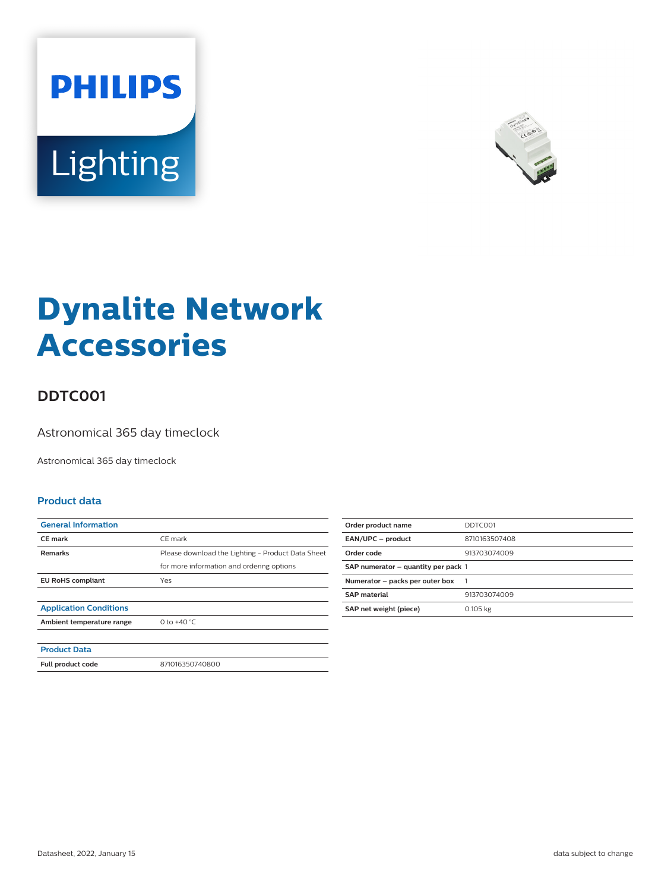



# **Dynalite Network Accessories**

## **DDTC001**

Astronomical 365 day timeclock

Astronomical 365 day timeclock

#### **Product data**

| <b>General Information</b>    |                                                   |
|-------------------------------|---------------------------------------------------|
| <b>CE</b> mark                | CE mark                                           |
| <b>Remarks</b>                | Please download the Lighting - Product Data Sheet |
|                               | for more information and ordering options         |
| <b>EU RoHS compliant</b>      | Yes                                               |
|                               |                                                   |
| <b>Application Conditions</b> |                                                   |
| Ambient temperature range     | 0 to $+40 °C$                                     |
|                               |                                                   |
| <b>Product Data</b>           |                                                   |
| Full product code             | 871016350740800                                   |
|                               |                                                   |

| Order product name                  | DDTC001       |
|-------------------------------------|---------------|
| EAN/UPC - product                   | 8710163507408 |
| Order code                          | 913703074009  |
| SAP numerator - quantity per pack 1 |               |
| Numerator - packs per outer box     |               |
| <b>SAP material</b>                 | 913703074009  |
| SAP net weight (piece)              | 0.105 kg      |
|                                     |               |